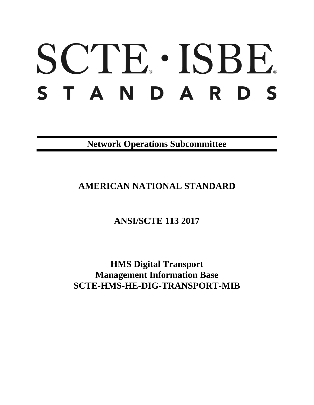# SCTE · ISBE. STANDARDS

**Network Operations Subcommittee**

**AMERICAN NATIONAL STANDARD**

**ANSI/SCTE 113 2017**

**HMS Digital Transport Management Information Base SCTE-HMS-HE-DIG-TRANSPORT-MIB**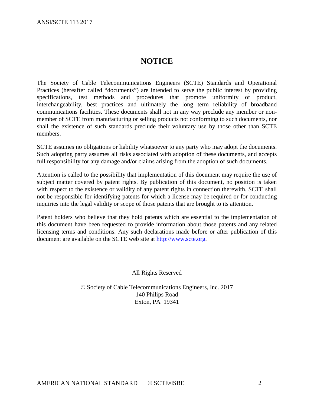# **NOTICE**

The Society of Cable Telecommunications Engineers (SCTE) Standards and Operational Practices (hereafter called "documents") are intended to serve the public interest by providing specifications, test methods and procedures that promote uniformity of product, interchangeability, best practices and ultimately the long term reliability of broadband communications facilities. These documents shall not in any way preclude any member or nonmember of SCTE from manufacturing or selling products not conforming to such documents, nor shall the existence of such standards preclude their voluntary use by those other than SCTE members.

SCTE assumes no obligations or liability whatsoever to any party who may adopt the documents. Such adopting party assumes all risks associated with adoption of these documents, and accepts full responsibility for any damage and/or claims arising from the adoption of such documents.

Attention is called to the possibility that implementation of this document may require the use of subject matter covered by patent rights. By publication of this document, no position is taken with respect to the existence or validity of any patent rights in connection therewith. SCTE shall not be responsible for identifying patents for which a license may be required or for conducting inquiries into the legal validity or scope of those patents that are brought to its attention.

Patent holders who believe that they hold patents which are essential to the implementation of this document have been requested to provide information about those patents and any related licensing terms and conditions. Any such declarations made before or after publication of this document are available on the SCTE web site at [http://www.scte.org.](http://www.scte.org/)

All Rights Reserved

© Society of Cable Telecommunications Engineers, Inc. 2017 140 Philips Road Exton, PA 19341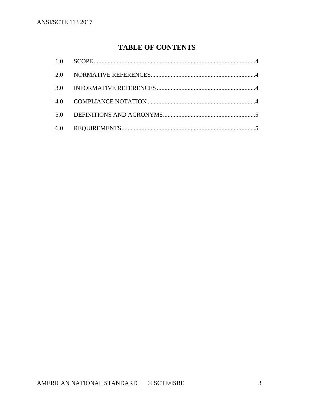# **TABLE OF CONTENTS**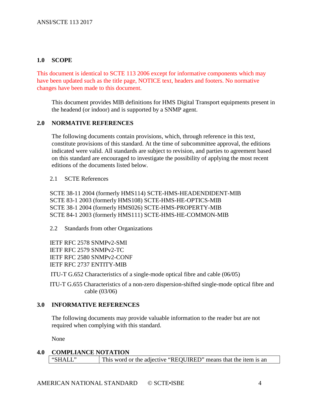# <span id="page-3-0"></span>**1.0 SCOPE**

This document is identical to SCTE 113 2006 except for informative components which may have been updated such as the title page, NOTICE text, headers and footers. No normative changes have been made to this document.

This document provides MIB definitions for HMS Digital Transport equipments present in the headend (or indoor) and is supported by a SNMP agent.

## <span id="page-3-1"></span>**2.0 NORMATIVE REFERENCES**

The following documents contain provisions, which, through reference in this text, constitute provisions of this standard. At the time of subcommittee approval, the editions indicated were valid. All standards are subject to revision, and parties to agreement based on this standard are encouraged to investigate the possibility of applying the most recent editions of the documents listed below.

2.1 SCTE References

SCTE 38-11 2004 (formerly HMS114) SCTE-HMS-HEADENDIDENT-MIB SCTE 83-1 2003 (formerly HMS108) SCTE-HMS-HE-OPTICS-MIB SCTE 38-1 2004 (formerly HMS026) SCTE-HMS-PROPERTY-MIB SCTE 84-1 2003 (formerly HMS111) SCTE-HMS-HE-COMMON-MIB

2.2 Standards from other Organizations

IETF RFC 2578 SNMPv2-SMI IETF RFC 2579 SNMPv2-TC IETF RFC 2580 SNMPv2-CONF IETF RFC 2737 ENTITY-MIB

ITU-T G.652 Characteristics of a single-mode optical fibre and cable (06/05)

ITU-T G.655 Characteristics of a non-zero dispersion-shifted single-mode optical fibre and cable (03/06)

# <span id="page-3-2"></span>**3.0 INFORMATIVE REFERENCES**

The following documents may provide valuable information to the reader but are not required when complying with this standard.

None

<span id="page-3-3"></span>**4.0 COMPLIANCE NOTATION** "SHALL" This word or the adjective "REQUIRED" means that the item is an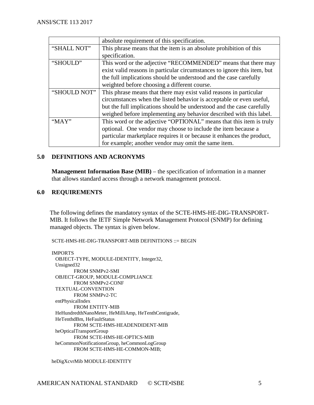|              | absolute requirement of this specification.                              |
|--------------|--------------------------------------------------------------------------|
| "SHALL NOT"  | This phrase means that the item is an absolute prohibition of this       |
|              | specification.                                                           |
| "SHOULD"     | This word or the adjective "RECOMMENDED" means that there may            |
|              | exist valid reasons in particular circumstances to ignore this item, but |
|              | the full implications should be understood and the case carefully        |
|              | weighted before choosing a different course.                             |
| "SHOULD NOT" | This phrase means that there may exist valid reasons in particular       |
|              | circumstances when the listed behavior is acceptable or even useful,     |
|              | but the full implications should be understood and the case carefully    |
|              | weighed before implementing any behavior described with this label.      |
| "MAY"        | This word or the adjective "OPTIONAL" means that this item is truly      |
|              | optional. One vendor may choose to include the item because a            |
|              | particular marketplace requires it or because it enhances the product,   |
|              | for example; another vendor may omit the same item.                      |

## <span id="page-4-0"></span>**5.0 DEFINITIONS AND ACRONYMS**

**Management Information Base (MIB)** – the specification of information in a manner that allows standard access through a network management protocol.

# <span id="page-4-1"></span>**6.0 REQUIREMENTS**

The following defines the mandatory syntax of the SCTE-HMS-HE-DIG-TRANSPORT-MIB. It follows the IETF Simple Network Management Protocol (SNMP) for defining managed objects. The syntax is given below.

SCTE-HMS-HE-DIG-TRANSPORT-MIB DEFINITIONS ::= BEGIN

IMPORTS OBJECT-TYPE, MODULE-IDENTITY, Integer32, Unsigned32 FROM SNMPv2-SMI OBJECT-GROUP, MODULE-COMPLIANCE FROM SNMPv2-CONF TEXTUAL-CONVENTION FROM SNMPv2-TC entPhysicalIndex FROM ENTITY-MIB HeHundredthNanoMeter, HeMilliAmp, HeTenthCentigrade, HeTenthdBm, HeFaultStatus FROM SCTE-HMS-HEADENDIDENT-MIB heOpticalTransportGroup FROM SCTE-HMS-HE-OPTICS-MIB heCommonNotificationsGroup, heCommonLogGroup FROM SCTE-HMS-HE-COMMON-MIB;

heDigXcvrMib MODULE-IDENTITY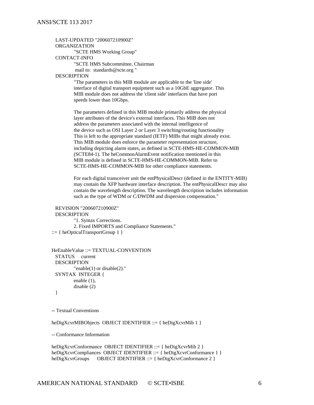#### LAST-UPDATED "200607210900Z"

#### ORGANIZATION

"SCTE HMS Working Group"

#### CONTACT-INFO

"SCTE HMS Subcommittee, Chairman mail to: standards@scte.org "

#### DESCRIPTION

"The parameters in this MIB module are applicable to the 'line side' interface of digital transport equipment such as a 10GbE aggregator. This MIB module does not address the 'client side' interfaces that have port speeds lower than 10Gbps.

The parameters defined in this MIB module primarily address the physical layer attributes of the device's external interfaces. This MIB does not address the parameters associated with the internal intelligence of the device such as OSI Layer 2 or Layer 3 switching/routing functionality This is left to the appropriate standard (IETF) MIBs that might already exist. This MIB module does enforce the parameter representation structure, including depicting alarm states, as defined in SCTE-HMS-HE-COMMON-MIB (SCTE84-1). The heCommonAlarmEvent notification mentioned in this MIB module is defined in SCTE-HMS-HE-COMMON-MIB. Refer to SCTE-HMS-HE-COMMON-MIB for other compliance statements.

For each digital transceiver unit the entPhysicalDescr (defined in the ENTITY-MIB) may contain the XFP hardware interface description. The entPhysicalDescr may also contain the wavelength description. The wavelength description includes information such as the type of WDM or C/DWDM and dispersion compensation."

```
REVISION "200607210900Z"
 DESCRIPTION 
         "1. Syntax Corrections.
         2. Fixed IMPORTS and Compliance Statements."
::= \{ heOpticalTransportGroup 1 \}
```

```
HeEnableValue ::= TEXTUAL-CONVENTION
 STATUS current
 DESCRIPTION 
         "enable(1) or disable(2)."
 SYNTAX INTEGER {
        enable (1),
         disable (2)
 }
```
-- Textual Conventions

heDigXcvrMIBObjects OBJECT IDENTIFIER ::= { heDigXcvrMib 1 }

-- Conformance Information

```
heDigXcvrConformance OBJECT IDENTIFIER ::= { heDigXcvrMib 2 }
heDigXcvrCompliances OBJECT IDENTIFIER ::= { heDigXcvrConformance 1 }
heDigXcvrGroups OBJECT IDENTIFIER ::= { heDigXcvrConformance 2 }
```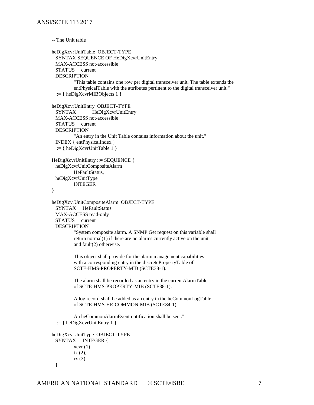```
-- The Unit table
```

```
heDigXcvrUnitTable OBJECT-TYPE
 SYNTAX SEQUENCE OF HeDigXcvrUnitEntry
 MAX-ACCESS not-accessible
 STATUS current
 DESCRIPTION 
         "This table contains one row per digital transceiver unit. The table extends the 
         entPhysicalTable with the attributes pertinent to the digital transceiver unit."
 ::= \{ heDigXcvrMIBObjects 1 \}heDigXcvrUnitEntry OBJECT-TYPE
 SYNTAX HeDigXcvrUnitEntry
 MAX-ACCESS not-accessible
 STATUS current
 DESCRIPTION 
         "An entry in the Unit Table contains information about the unit."
 INDEX { entPhysicalIndex }
 ::= { heDigXcvrUnitTable 1 }
HeDigXcvrUnitEntry ::= SEQUENCE {
 heDigXcvrUnitCompositeAlarm
         HeFaultStatus,
 heDigXcvrUnitType
         INTEGER
}
heDigXcvrUnitCompositeAlarm OBJECT-TYPE
 SYNTAX HeFaultStatus
 MAX-ACCESS read-only
 STATUS current
 DESCRIPTION 
         "System composite alarm. A SNMP Get request on this variable shall
         return normal(1) if there are no alarms currently active on the unit 
         and fault(2) otherwise.
         This object shall provide for the alarm management capabilities 
         with a corresponding entry in the discretePropertyTable of 
         SCTE-HMS-PROPERTY-MIB (SCTE38-1). 
         The alarm shall be recorded as an entry in the currentAlarmTable
         of SCTE-HMS-PROPERTY-MIB (SCTE38-1).
         A log record shall be added as an entry in the heCommonLogTable
         of SCTE-HMS-HE-COMMON-MIB (SCTE84-1).
         An heCommonAlarmEvent notification shall be sent."
  ::= { \n  <i>hebigXcvrUnitEntry 1 }</i> }heDigXcvrUnitType OBJECT-TYPE
```

```
SYNTAX INTEGER {
       xcvr(1),
       tx (2),
       rx (3)
}
```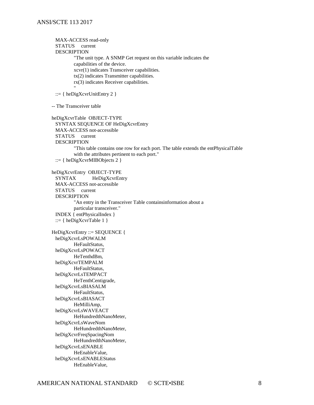MAX-ACCESS read-only STATUS current DESCRIPTION "The unit type. A SNMP Get request on this variable indicates the capabilities of the device. xcvr(1) indicates Transceiver capabilities. tx(2) indicates Transmitter capabilities. rx(3) indicates Receiver capabilities. " ::= { heDigXcvrUnitEntry 2 } -- The Transceiver table heDigXcvrTable OBJECT-TYPE SYNTAX SEQUENCE OF HeDigXcvrEntry MAX-ACCESS not-accessible STATUS current **DESCRIPTION** "This table contains one row for each port. The table extends the entPhysicalTable with the attributes pertinent to each port." ::= { heDigXcvrMIBObjects 2 } heDigXcvrEntry OBJECT-TYPE SYNTAX HeDigXcvrEntry MAX-ACCESS not-accessible STATUS current **DESCRIPTION** "An entry in the Transceiver Table containsinformation about a particular transceiver." INDEX { entPhysicalIndex } ::= { heDigXcvrTable  $1$  } HeDigXcvrEntry ::= SEQUENCE { heDigXcvrLsPOWALM HeFaultStatus, heDigXcvrLsPOWACT HeTenthdBm, heDigXcvrTEMPALM HeFaultStatus, heDigXcvrLsTEMPACT HeTenthCentigrade, heDigXcvrLsBIASALM HeFaultStatus, heDigXcvrLsBIASACT HeMilliAmp, heDigXcvrLsWAVEACT HeHundredthNanoMeter, heDigXcvrLsWaveNom HeHundredthNanoMeter, heDigXcvrFreqSpacingNom HeHundredthNanoMeter, heDigXcvrLsENABLE HeEnableValue, heDigXcvrLsENABLEStatus HeEnableValue,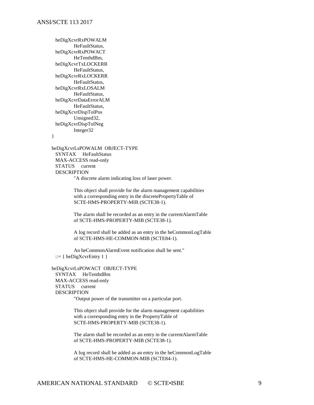heDigXcvrRxPOWALM HeFaultStatus, heDigXcvrRxPOWACT HeTenthdBm, heDigXcvrTxLOCKERR HeFaultStatus, heDigXcvrRxLOCKERR HeFaultStatus, heDigXcvrRxLOSALM HeFaultStatus, heDigXcvrDataErrorALM HeFaultStatus, heDigXcvrDispTolPos Unsigned32, heDigXcvrDispTolNeg Integer32

}

heDigXcvrLsPOWALM OBJECT-TYPE SYNTAX HeFaultStatus MAX-ACCESS read-only STATUS current DESCRIPTION "A discrete alarm indicating loss of laser power.

> This object shall provide for the alarm management capabilities with a corresponding entry in the discretePropertyTable of SCTE-HMS-PROPERTY-MIB (SCTE38-1).

The alarm shall be recorded as an entry in the currentAlarmTable of SCTE-HMS-PROPERTY-MIB (SCTE38-1).

A log record shall be added as an entry in the heCommonLogTable of SCTE-HMS-HE-COMMON-MIB (SCTE84-1).

An heCommonAlarmEvent notification shall be sent." ::= { heDigXcvrEntry 1 }

heDigXcvrLsPOWACT OBJECT-TYPE SYNTAX HeTenthdBm MAX-ACCESS read-only STATUS current DESCRIPTION "Output power of the transmitter on a particular port.

This object shall provide for the alarm management capabilities

with a corresponding entry in the PropertyTable of SCTE-HMS-PROPERTY-MIB (SCTE38-1).

The alarm shall be recorded as an entry in the currentAlarmTable of SCTE-HMS-PROPERTY-MIB (SCTE38-1).

A log record shall be added as an entry in the heCommonLogTable of SCTE-HMS-HE-COMMON-MIB (SCTE84-1).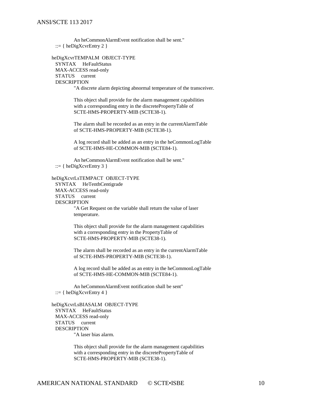An heCommonAlarmEvent notification shall be sent."  $::= \{ \text{heDigXcvrEntry 2 } \}$ 

heDigXcvrTEMPALM OBJECT-TYPE SYNTAX HeFaultStatus MAX-ACCESS read-only STATUS current DESCRIPTION "A discrete alarm depicting abnormal temperature of the transceiver.

> This object shall provide for the alarm management capabilities with a corresponding entry in the discretePropertyTable of SCTE-HMS-PROPERTY-MIB (SCTE38-1).

The alarm shall be recorded as an entry in the currentAlarmTable of SCTE-HMS-PROPERTY-MIB (SCTE38-1).

A log record shall be added as an entry in the heCommonLogTable of SCTE-HMS-HE-COMMON-MIB (SCTE84-1).

An heCommonAlarmEvent notification shall be sent." ::=  $\{$  heDigXcvrEntry 3  $\}$ 

heDigXcvrLsTEMPACT OBJECT-TYPE

SYNTAX HeTenthCentigrade MAX-ACCESS read-only STATUS current DESCRIPTION "A Get Request on the variable shall return the value of laser temperature.

> This object shall provide for the alarm management capabilities with a corresponding entry in the PropertyTable of SCTE-HMS-PROPERTY-MIB (SCTE38-1).

The alarm shall be recorded as an entry in the currentAlarmTable of SCTE-HMS-PROPERTY-MIB (SCTE38-1).

A log record shall be added as an entry in the heCommonLogTable of SCTE-HMS-HE-COMMON-MIB (SCTE84-1).

An heCommonAlarmEvent notification shall be sent" ::=  $\{$  heDigXcvrEntry 4  $\}$ 

heDigXcvrLsBIASALM OBJECT-TYPE SYNTAX HeFaultStatus MAX-ACCESS read-only STATUS current **DESCRIPTION** "A laser bias alarm.

This object shall provide for the alarm management capabilities with a corresponding entry in the discretePropertyTable of SCTE-HMS-PROPERTY-MIB (SCTE38-1).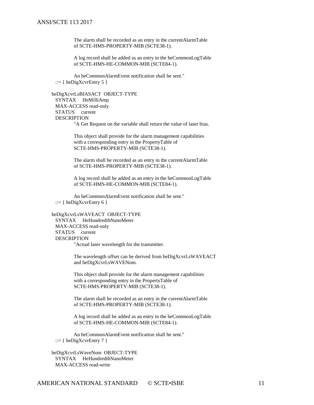The alarm shall be recorded as an entry in the currentAlarmTable of SCTE-HMS-PROPERTY-MIB (SCTE38-1).

A log record shall be added as an entry in the heCommonLogTable of SCTE-HMS-HE-COMMON-MIB (SCTE84-1).

An heCommonAlarmEvent notification shall be sent." ::=  $\{$  heDigXcvrEntry 5  $\}$ 

heDigXcvrLsBIASACT OBJECT-TYPE SYNTAX HeMilliAmp MAX-ACCESS read-only STATUS current DESCRIPTION "A Get Request on the variable shall return the value of laser bias.

> This object shall provide for the alarm management capabilities with a corresponding entry in the PropertyTable of SCTE-HMS-PROPERTY-MIB (SCTE38-1).

The alarm shall be recorded as an entry in the currentAlarmTable of SCTE-HMS-PROPERTY-MIB (SCTE38-1).

A log record shall be added as an entry in the heCommonLogTable of SCTE-HMS-HE-COMMON-MIB (SCTE84-1).

An heCommonAlarmEvent notification shall be sent." ::= { heDigXcvrEntry 6 }

heDigXcvrLsWAVEACT OBJECT-TYPE SYNTAX HeHundredthNanoMeter MAX-ACCESS read-only STATUS current DESCRIPTION "Actual laser wavelength for the transmitter.

> The wavelength offset can be derived from heDigXcvrLsWAVEACT and heDigXcvrLsWAVENom.

This object shall provide for the alarm management capabilities with a corresponding entry in the PropertyTable of SCTE-HMS-PROPERTY-MIB (SCTE38-1).

The alarm shall be recorded as an entry in the currentAlarmTable of SCTE-HMS-PROPERTY-MIB (SCTE38-1).

A log record shall be added as an entry in the heCommonLogTable of SCTE-HMS-HE-COMMON-MIB (SCTE84-1).

An heCommonAlarmEvent notification shall be sent." ::= { heDigXcvrEntry 7 }

heDigXcvrLsWaveNom OBJECT-TYPE SYNTAX HeHundredthNanoMeter MAX-ACCESS read-write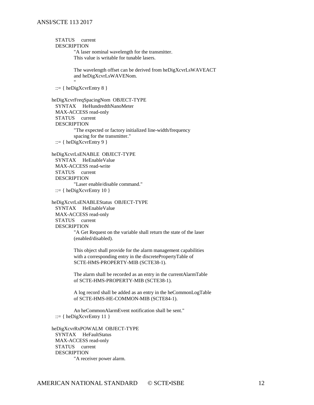#### ANSI/SCTE 113 2017

STATUS current DESCRIPTION "A laser nominal wavelength for the transmitter. This value is writable for tunable lasers. The wavelength offset can be derived from heDigXcvrLsWAVEACT and heDigXcvrLsWAVENom. " ::= { heDigXcvrEntry  $8$  } heDigXcvrFreqSpacingNom OBJECT-TYPE SYNTAX HeHundredthNanoMeter MAX-ACCESS read-only STATUS current DESCRIPTION "The expected or factory initialized line-width/frequency spacing for the transmitter." ::= { heDigXcvrEntry 9 } heDigXcvrLsENABLE OBJECT-TYPE SYNTAX HeEnableValue MAX-ACCESS read-write STATUS current DESCRIPTION "Laser enable/disable command."  $::= \{ \text{heDigXcvrEntry } 10 \}$ heDigXcvrLsENABLEStatus OBJECT-TYPE SYNTAX HeEnableValue MAX-ACCESS read-only STATUS current DESCRIPTION "A Get Request on the variable shall return the state of the laser (enabled/disabled). This object shall provide for the alarm management capabilities with a corresponding entry in the discretePropertyTable of SCTE-HMS-PROPERTY-MIB (SCTE38-1). The alarm shall be recorded as an entry in the currentAlarmTable of SCTE-HMS-PROPERTY-MIB (SCTE38-1). A log record shall be added as an entry in the heCommonLogTable of SCTE-HMS-HE-COMMON-MIB (SCTE84-1). An heCommonAlarmEvent notification shall be sent." ::=  $\{$  heDigXcvrEntry 11  $\}$ heDigXcvrRxPOWALM OBJECT-TYPE SYNTAX HeFaultStatus MAX-ACCESS read-only STATUS current **DESCRIPTION** "A receiver power alarm.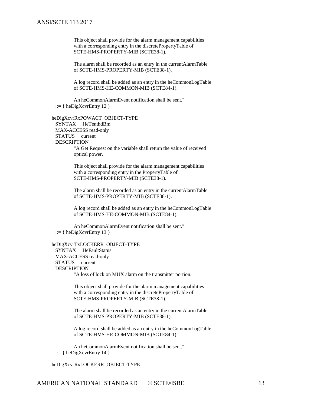#### ANSI/SCTE 113 2017

This object shall provide for the alarm management capabilities with a corresponding entry in the discretePropertyTable of SCTE-HMS-PROPERTY-MIB (SCTE38-1).

The alarm shall be recorded as an entry in the currentAlarmTable of SCTE-HMS-PROPERTY-MIB (SCTE38-1).

A log record shall be added as an entry in the heCommonLogTable of SCTE-HMS-HE-COMMON-MIB (SCTE84-1).

An heCommonAlarmEvent notification shall be sent."  $::= \{ \text{heDigXcvrEntry} 12 \}$ 

heDigXcvrRxPOWACT OBJECT-TYPE SYNTAX HeTenthdBm MAX-ACCESS read-only STATUS current **DESCRIPTION** "A Get Request on the variable shall return the value of received

optical power.

This object shall provide for the alarm management capabilities with a corresponding entry in the PropertyTable of SCTE-HMS-PROPERTY-MIB (SCTE38-1).

The alarm shall be recorded as an entry in the currentAlarmTable of SCTE-HMS-PROPERTY-MIB (SCTE38-1).

A log record shall be added as an entry in the heCommonLogTable of SCTE-HMS-HE-COMMON-MIB (SCTE84-1).

An heCommonAlarmEvent notification shall be sent."  $::= \{ \text{heDigXcvrEntry} 13 \}$ 

heDigXcvrTxLOCKERR OBJECT-TYPE SYNTAX HeFaultStatus MAX-ACCESS read-only STATUS current DESCRIPTION "A loss of lock on MUX alarm on the transmitter portion.

> This object shall provide for the alarm management capabilities with a corresponding entry in the discretePropertyTable of SCTE-HMS-PROPERTY-MIB (SCTE38-1).

The alarm shall be recorded as an entry in the currentAlarmTable of SCTE-HMS-PROPERTY-MIB (SCTE38-1).

A log record shall be added as an entry in the heCommonLogTable of SCTE-HMS-HE-COMMON-MIB (SCTE84-1).

An heCommonAlarmEvent notification shall be sent."  $::= \{ \text{heDigXcvrEntry 14 } \}$ 

heDigXcvrRxLOCKERR OBJECT-TYPE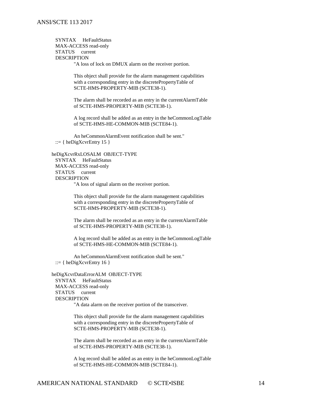SYNTAX HeFaultStatus MAX-ACCESS read-only STATUS current DESCRIPTION

"A loss of lock on DMUX alarm on the receiver portion.

This object shall provide for the alarm management capabilities with a corresponding entry in the discretePropertyTable of SCTE-HMS-PROPERTY-MIB (SCTE38-1).

The alarm shall be recorded as an entry in the currentAlarmTable of SCTE-HMS-PROPERTY-MIB (SCTE38-1).

A log record shall be added as an entry in the heCommonLogTable of SCTE-HMS-HE-COMMON-MIB (SCTE84-1).

An heCommonAlarmEvent notification shall be sent." ::=  $\{$  heDigXcvrEntry 15  $\}$ 

heDigXcvrRxLOSALM OBJECT-TYPE SYNTAX HeFaultStatus MAX-ACCESS read-only STATUS current DESCRIPTION "A loss of signal alarm on the receiver portion.

> This object shall provide for the alarm management capabilities with a corresponding entry in the discretePropertyTable of SCTE-HMS-PROPERTY-MIB (SCTE38-1).

The alarm shall be recorded as an entry in the currentAlarmTable of SCTE-HMS-PROPERTY-MIB (SCTE38-1).

A log record shall be added as an entry in the heCommonLogTable of SCTE-HMS-HE-COMMON-MIB (SCTE84-1).

An heCommonAlarmEvent notification shall be sent." ::=  $\{$  heDigXcvrEntry 16  $\}$ 

heDigXcvrDataErrorALM OBJECT-TYPE SYNTAX HeFaultStatus MAX-ACCESS read-only STATUS current DESCRIPTION

"A data alarm on the receiver portion of the transceiver.

This object shall provide for the alarm management capabilities with a corresponding entry in the discretePropertyTable of SCTE-HMS-PROPERTY-MIB (SCTE38-1).

The alarm shall be recorded as an entry in the currentAlarmTable of SCTE-HMS-PROPERTY-MIB (SCTE38-1).

A log record shall be added as an entry in the heCommonLogTable of SCTE-HMS-HE-COMMON-MIB (SCTE84-1).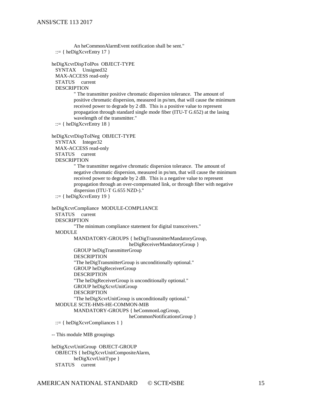```
An heCommonAlarmEvent notification shall be sent."
::= \{ heDigXcvrEntry 17 \}
```
heDigXcvrDispTolPos OBJECT-TYPE SYNTAX Unsigned32 MAX-ACCESS read-only STATUS current DESCRIPTION " The transmitter positive chromatic dispersion tolerance. The amount of positive chromatic dispersion, measured in ps/nm, that will cause the minimum received power to degrade by 2 dB. This is a positive value to represent propagation through standard single mode fiber (ITU-T G.652) at the lasing wavelength of the transmitter." ::=  $\{$  heDigXcvrEntry 18  $\}$ heDigXcvrDispTolNeg OBJECT-TYPE SYNTAX Integer32 MAX-ACCESS read-only STATUS current DESCRIPTION " The transmitter negative chromatic dispersion tolerance. The amount of negative chromatic dispersion, measured in ps/nm, that will cause the minimum received power to degrade by 2 dB. This is a negative value to represent propagation through an over-compensated link, or through fiber with negative dispersion (ITU-T G.655 NZD-)." ::=  $\{$  heDigXcvrEntry 19  $\}$ heDigXcvrCompliance MODULE-COMPLIANCE STATUS current DESCRIPTION "The minimum compliance statement for digital transceivers." MODULE MANDATORY-GROUPS { heDigTransmitterMandatoryGroup, heDigReceiverMandatoryGroup } GROUP heDigTransmitterGroup DESCRIPTION "The heDigTransmitterGroup is unconditionally optional." GROUP heDigReceiverGroup DESCRIPTION "The heDigReceiverGroup is unconditionally optional." GROUP heDigXcvrUnitGroup DESCRIPTION "The heDigXcvrUnitGroup is unconditionally optional." MODULE SCTE-HMS-HE-COMMON-MIB MANDATORY-GROUPS { heCommonLogGroup, heCommonNotificationsGroup } ::= { heDigXcvrCompliances 1 } -- This module MIB groupings heDigXcvrUnitGroup OBJECT-GROUP

OBJECTS { heDigXcvrUnitCompositeAlarm, heDigXcvrUnitType } STATUS current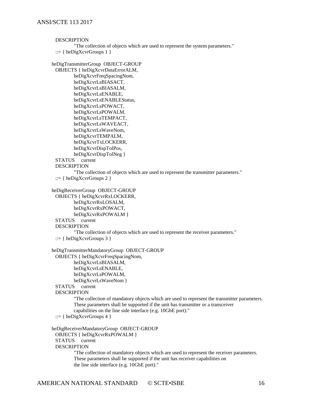**DESCRIPTION** "The collection of objects which are used to represent the system parameters." ::= { heDigXcvrGroups  $1$  } heDigTransmitterGroup OBJECT-GROUP OBJECTS { heDigXcvrDataErrorALM, heDigXcvrFreqSpacingNom, heDigXcvrLsBIASACT, heDigXcvrLsBIASALM, heDigXcvrLsENABLE, heDigXcvrLsENABLEStatus, heDigXcvrLsPOWACT, heDigXcvrLsPOWALM, heDigXcvrLsTEMPACT, heDigXcvrLsWAVEACT, heDigXcvrLsWaveNom, heDigXcvrTEMPALM, heDigXcvrTxLOCKERR, heDigXcvrDispTolPos, heDigXcvrDispTolNeg } STATUS current DESCRIPTION "The collection of objects which are used to represent the transmitter parameters."  $::= \{ \text{heDigXcvrGroups 2 } \}$ heDigReceiverGroup OBJECT-GROUP OBJECTS { heDigXcvrRxLOCKERR, heDigXcvrRxLOSALM, heDigXcvrRxPOWACT, heDigXcvrRxPOWALM } STATUS current

#### DESCRIPTION

"The collection of objects which are used to represent the receiver parameters."

```
::= \{heDigXcvrGroups 3\}
```

```
heDigTransmitterMandatoryGroup OBJECT-GROUP
```

```
OBJECTS { heDigXcvrFreqSpacingNom,
```
heDigXcvrLsBIASALM, heDigXcvrLsENABLE, heDigXcvrLsPOWALM,

heDigXcvrLsWaveNom }

```
STATUS current
```
DESCRIPTION

"The collection of mandatory objects which are used to represent the transmitter parameters. These parameters shall be supported if the unit has transmitter or a transceiver capabilities on the line side interface (e.g. 10GbE port)."

```
::= { heDigXcvrGroups 4 }
```

```
heDigReceiverMandatoryGroup OBJECT-GROUP
 OBJECTS { heDigXcvrRxPOWALM }
 STATUS current
 DESCRIPTION
         "The collection of mandatory objects which are used to represent the receiver parameters.
         These parameters shall be supported if the unit has receiver capabilities on 
         the line side interface (e.g. 10GbE port)."
```